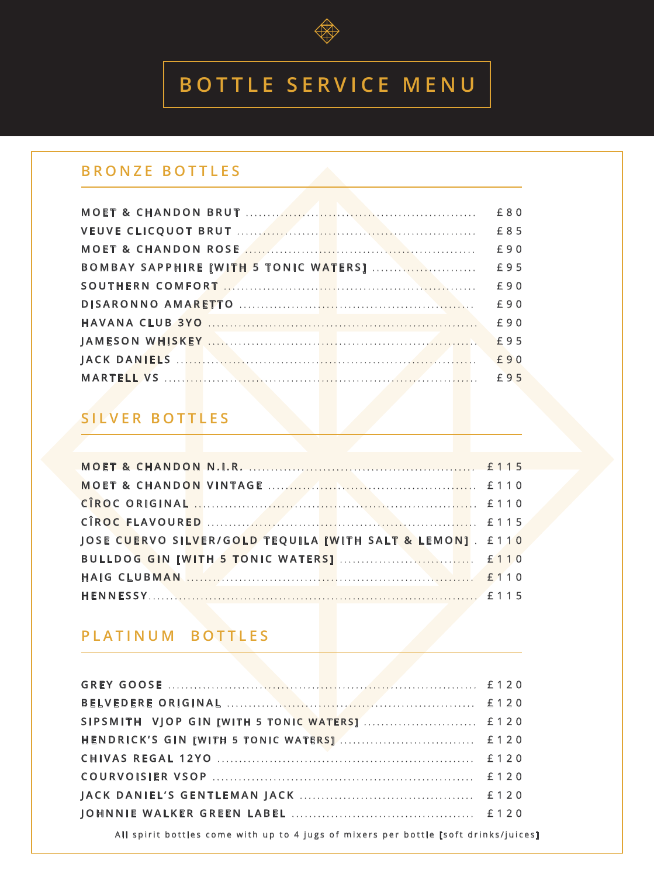

# **BOTTLE SERVICE MENU**

### **BRONZE BOTTLES**

|                                       | £80 |
|---------------------------------------|-----|
|                                       | £85 |
|                                       | £90 |
| BOMBAY SAPPHIRE [WITH 5 TONIC WATERS] | £95 |
|                                       | £90 |
|                                       | £90 |
|                                       | £90 |
|                                       |     |
|                                       |     |
|                                       |     |

## **SILVER BOTTLES**

| JOSE CUERVO SILVER/GOLD TEQUILA [WITH SALT & LEMON]. £110 |  |
|-----------------------------------------------------------|--|
|                                                           |  |
|                                                           |  |
|                                                           |  |

### **PLATINUM BOTTLES**

All spirit bottles come with up to 4 jugs of mixers per bottle [soft drinks/juices]